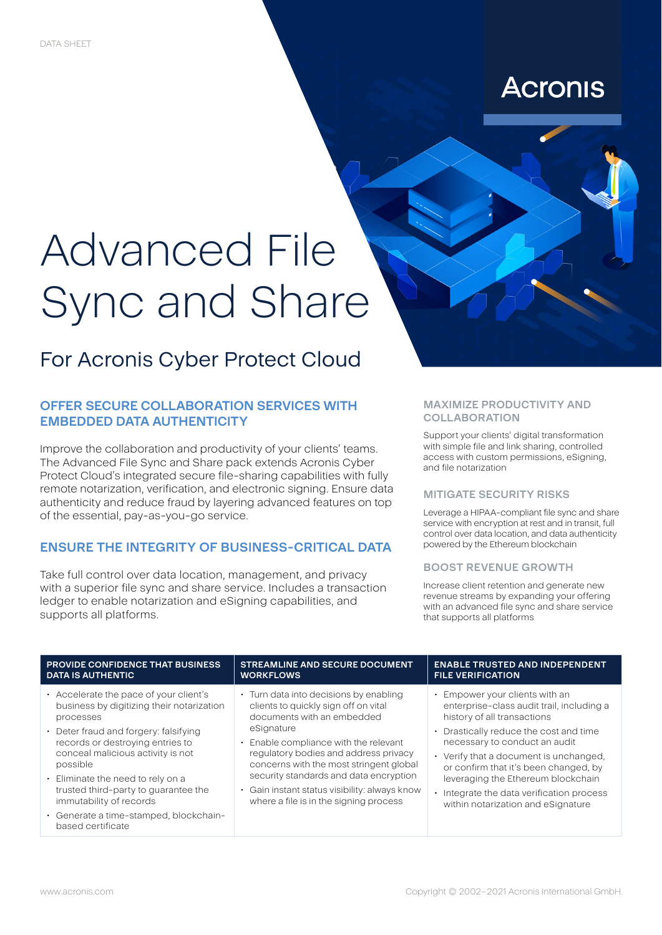# **Acronis**

# Advanced File Sync and Share

# For Acronis Cyber Protect Cloud

# **OFFER SECURE COLLABORATION SERVICES WITH EMBEDDED DATA AUTHENTICITY**

Improve the collaboration and productivity of your clients' teams. The Advanced File Sync and Share pack extends Acronis Cyber Protect Cloud's integrated secure file-sharing capabilities with fully remote notarization, verification, and electronic signing. Ensure data authenticity and reduce fraud by layering advanced features on top of the essential, pay-as-you-go service.

# **ENSURE THE INTEGRITY OF BUSINESS-CRITICAL DATA**

Take full control over data location, management, and privacy with a superior file sync and share service. Includes a transaction ledger to enable notarization and eSigning capabilities, and supports all platforms.

#### **MAXIMIZE PRODUCTIVITY AND COLLABORATION**

Support your clients' digital transformation with simple file and link sharing, controlled access with custom permissions, eSigning, and file notarization

## **MITIGATE SECURITY RISKS**

Leverage a HIPAA-compliant file sync and share service with encryption at rest and in transit, full control over data location, and data authenticity powered by the Ethereum blockchain

## **BOOST REVENUE GROWTH**

Increase client retention and generate new revenue streams by expanding your offering with an advanced file sync and share service that supports all platforms

| <b>PROVIDE CONFIDENCE THAT BUSINESS</b>                                                                                                                                                                                                                                                                                                                                                             | <b>STREAMLINE AND SECURE DOCUMENT</b>                                                                                                                                                                                                                                                                                                                                                        | <b>ENABLE TRUSTED AND INDEPENDENT</b>                                                                                                                                                                                                                                                                                                                                                           |
|-----------------------------------------------------------------------------------------------------------------------------------------------------------------------------------------------------------------------------------------------------------------------------------------------------------------------------------------------------------------------------------------------------|----------------------------------------------------------------------------------------------------------------------------------------------------------------------------------------------------------------------------------------------------------------------------------------------------------------------------------------------------------------------------------------------|-------------------------------------------------------------------------------------------------------------------------------------------------------------------------------------------------------------------------------------------------------------------------------------------------------------------------------------------------------------------------------------------------|
| <b>DATA IS AUTHENTIC</b>                                                                                                                                                                                                                                                                                                                                                                            | <b>WORKFLOWS</b>                                                                                                                                                                                                                                                                                                                                                                             | <b>FILE VERIFICATION</b>                                                                                                                                                                                                                                                                                                                                                                        |
| Accelerate the pace of your client's<br>business by digitizing their notarization<br>processes<br>• Deter fraud and forgery: falsifying<br>records or destroying entries to<br>conceal malicious activity is not<br>possible<br>· Eliminate the need to rely on a<br>trusted third-party to quarantee the<br>immutability of records<br>· Generate a time-stamped, blockchain-<br>based certificate | • Turn data into decisions by enabling<br>clients to quickly sign off on vital<br>documents with an embedded<br>eSignature<br>• Enable compliance with the relevant<br>regulatory bodies and address privacy<br>concerns with the most stringent global<br>security standards and data encryption<br>· Gain instant status visibility: always know<br>where a file is in the signing process | • Empower your clients with an<br>enterprise-class audit trail, including a<br>history of all transactions<br>• Drastically reduce the cost and time<br>necessary to conduct an audit<br>• Verify that a document is unchanged.<br>or confirm that it's been changed, by<br>leveraging the Ethereum blockchain<br>Integrate the data verification process<br>within notarization and eSignature |